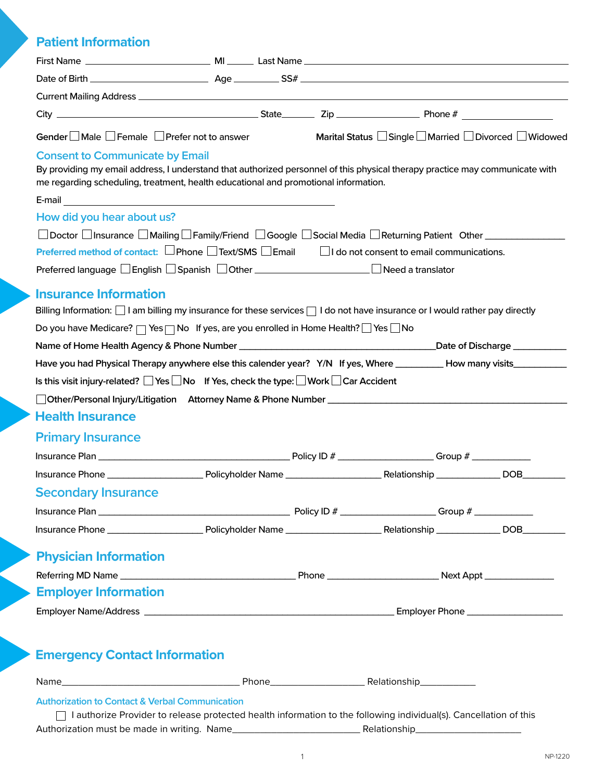# **Patient Information**

| Gender $\square$ Male $\square$ Female $\square$ Prefer not to answer                                                                                                                                                                                                                        |  |  | Marital Status $\square$ Single $\square$ Married $\square$ Divorced $\square$ Widowed |
|----------------------------------------------------------------------------------------------------------------------------------------------------------------------------------------------------------------------------------------------------------------------------------------------|--|--|----------------------------------------------------------------------------------------|
| <b>Consent to Communicate by Email</b><br>By providing my email address, I understand that authorized personnel of this physical therapy practice may communicate with<br>me regarding scheduling, treatment, health educational and promotional information.                                |  |  |                                                                                        |
| How did you hear about us?                                                                                                                                                                                                                                                                   |  |  |                                                                                        |
| □ Doctor □ Insurance □ Mailing □ Family/Friend □ Google □ Social Media □ Returning Patient Other _____________                                                                                                                                                                               |  |  |                                                                                        |
| Preferred method of contact: $\square$ Phone $\square$ Text/SMS $\square$ Email $\square$ I do not consent to email communications.                                                                                                                                                          |  |  |                                                                                        |
|                                                                                                                                                                                                                                                                                              |  |  |                                                                                        |
| <b>Insurance Information</b><br>Billing Information: $\bigsqcup$ I am billing my insurance for these services $\bigsqcup$ I do not have insurance or I would rather pay directly<br>Do you have Medicare? $\Box$ Yes $\Box$ No If yes, are you enrolled in Home Health? $\Box$ Yes $\Box$ No |  |  |                                                                                        |
|                                                                                                                                                                                                                                                                                              |  |  |                                                                                        |
| Have you had Physical Therapy anywhere else this calender year? Y/N If yes, Where __________How many visits_________                                                                                                                                                                         |  |  |                                                                                        |
| Is this visit injury-related? $\Box$ Yes $\Box$ No If Yes, check the type: $\Box$ Work $\Box$ Car Accident                                                                                                                                                                                   |  |  |                                                                                        |
|                                                                                                                                                                                                                                                                                              |  |  |                                                                                        |
| <b>Health Insurance</b>                                                                                                                                                                                                                                                                      |  |  |                                                                                        |
| <b>Primary Insurance</b>                                                                                                                                                                                                                                                                     |  |  |                                                                                        |
|                                                                                                                                                                                                                                                                                              |  |  |                                                                                        |
|                                                                                                                                                                                                                                                                                              |  |  |                                                                                        |
| <b>Secondary Insurance</b>                                                                                                                                                                                                                                                                   |  |  |                                                                                        |
|                                                                                                                                                                                                                                                                                              |  |  |                                                                                        |
|                                                                                                                                                                                                                                                                                              |  |  |                                                                                        |
| <b>Physician Information</b>                                                                                                                                                                                                                                                                 |  |  |                                                                                        |
|                                                                                                                                                                                                                                                                                              |  |  |                                                                                        |
| <b>Employer Information</b>                                                                                                                                                                                                                                                                  |  |  |                                                                                        |
|                                                                                                                                                                                                                                                                                              |  |  |                                                                                        |
|                                                                                                                                                                                                                                                                                              |  |  |                                                                                        |
| <b>Emergency Contact Information</b>                                                                                                                                                                                                                                                         |  |  |                                                                                        |
|                                                                                                                                                                                                                                                                                              |  |  |                                                                                        |
| <b>Authorization to Contact &amp; Verbal Communication</b><br>I authorize Provider to release protected health information to the following individual(s). Cancellation of this                                                                                                              |  |  |                                                                                        |
|                                                                                                                                                                                                                                                                                              |  |  |                                                                                        |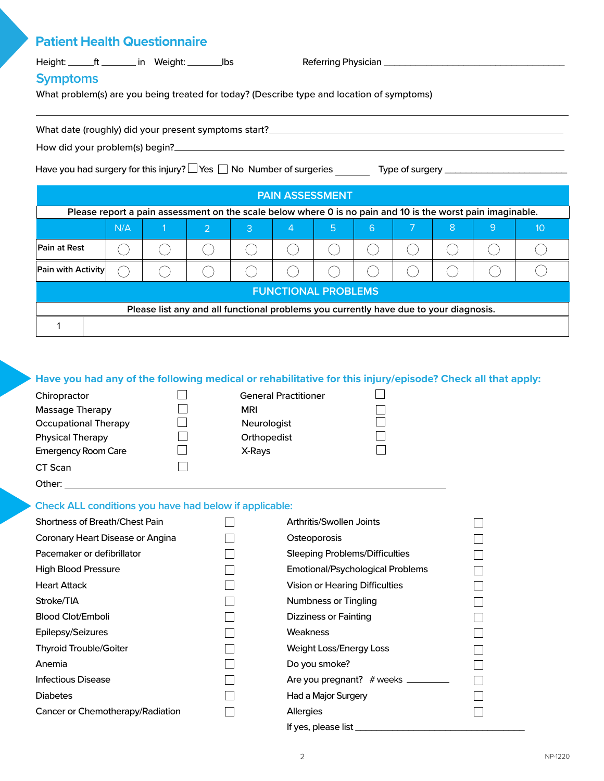## **Patient Health Questionnaire**

| Height: | in Weight: | lbs |
|---------|------------|-----|
|---------|------------|-----|

Height: ft in Weight: lbs Referring Physician \_\_\_\_\_\_\_\_\_\_\_\_\_\_\_\_\_\_\_\_\_\_\_\_\_\_\_\_\_\_\_\_\_\_

## **Symptoms**

What problem(s) are you being treated for today? (Describe type and location of symptoms)

| What date (roughly) did your present symptoms start? |
|------------------------------------------------------|
| How did your problem(s) begin?                       |

Have you had surgery for this injury? Yes No Number of surgeries Type of surgery \_\_\_\_\_\_\_\_\_\_\_\_\_\_\_\_\_\_\_\_\_\_\_

| <b>PAIN ASSESSMENT</b>                                                                |                                                                                                            |  |               |   |   |   |   |   |   |    |
|---------------------------------------------------------------------------------------|------------------------------------------------------------------------------------------------------------|--|---------------|---|---|---|---|---|---|----|
|                                                                                       | Please report a pain assessment on the scale below where 0 is no pain and 10 is the worst pain imaginable. |  |               |   |   |   |   |   |   |    |
|                                                                                       | N/A                                                                                                        |  | $\mathcal{P}$ | 3 | 4 | 5 | 6 | 8 | 9 | 10 |
| Pain at Rest                                                                          |                                                                                                            |  |               |   |   |   |   |   |   |    |
| Pain with Activity                                                                    |                                                                                                            |  |               |   |   |   |   |   |   |    |
| <b>FUNCTIONAL PROBLEMS</b>                                                            |                                                                                                            |  |               |   |   |   |   |   |   |    |
| Please list any and all functional problems you currently have due to your diagnosis. |                                                                                                            |  |               |   |   |   |   |   |   |    |
|                                                                                       |                                                                                                            |  |               |   |   |   |   |   |   |    |

#### **Have you had any of the following medical or rehabilitative for this injury/episode? Check all that apply:**

| Chiropractor                | <b>General Prac</b> |
|-----------------------------|---------------------|
| Massage Therapy             | <b>MRI</b>          |
| <b>Occupational Therapy</b> | <b>Neurologist</b>  |
| <b>Physical Therapy</b>     | Orthopedist         |
| <b>Emergency Room Care</b>  | X-Rays              |
| CT Scan                     |                     |
| Other:                      |                     |

| MRI         |  |
|-------------|--|
| Neurologist |  |
| Orthopedist |  |
| X-Rays      |  |
|             |  |

Chirophonen General Practitioner

#### **Check ALL conditions you have had below if applicable:**

| <b>Shortness of Breath/Chest Pain</b> | Arthritis/Swollen Joints         |  |
|---------------------------------------|----------------------------------|--|
| Coronary Heart Disease or Angina      | Osteoporosis                     |  |
| Pacemaker or defibrillator            | Sleeping Problems/Difficulties   |  |
| High Blood Pressure                   | Emotional/Psychological Problems |  |
| <b>Heart Attack</b>                   | Vision or Hearing Difficulties   |  |
| Stroke/TIA                            | <b>Numbness or Tingling</b>      |  |
| Blood Clot/Emboli                     | Dizziness or Fainting            |  |
| Epilepsy/Seizures                     | <b>Weakness</b>                  |  |
| <b>Thyroid Trouble/Goiter</b>         | Weight Loss/Energy Loss          |  |
| Anemia                                | Do you smoke?                    |  |
| Infectious Disease                    | Are you pregnant? $#$ weeks      |  |
| <b>Diabetes</b>                       | Had a Major Surgery              |  |
| Cancer or Chemotherapy/Radiation      | <b>Allergies</b>                 |  |
|                                       | If yes, please list              |  |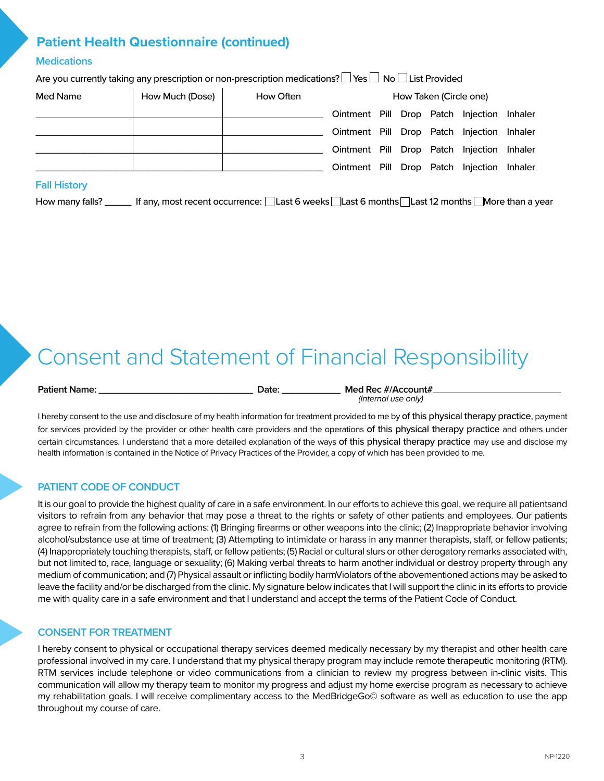# **Patient Health Questionnaire (continued)**

#### **Medications**

Are you currently taking any prescription or non-prescription medications?  $\Box$  Yes  $\Box$  No  $\Box$  List Provided

| Med Name | How Much (Dose) | How Often | How Taken (Circle one)                     |  |  |  |  |  |
|----------|-----------------|-----------|--------------------------------------------|--|--|--|--|--|
|          |                 |           | Ointment Pill Drop Patch Injection Inhaler |  |  |  |  |  |
|          |                 |           | Ointment Pill Drop Patch Injection Inhaler |  |  |  |  |  |
|          |                 |           | Ointment Pill Drop Patch Injection Inhaler |  |  |  |  |  |
|          |                 |           | Ointment Pill Drop Patch Injection Inhaler |  |  |  |  |  |

#### **Fall History**

How many falls? \_\_\_\_\_\_ If any, most recent occurrence: [Last 6 weeks | Last 6 months | Last 12 months | More than a year

# Consent and Statement of Financial Responsibility

**Patient Name: \_\_\_\_\_\_\_\_\_\_\_\_\_\_\_\_\_\_\_\_\_\_\_\_\_\_\_\_\_ Date: \_\_\_\_\_\_\_\_\_\_\_ Med Rec #/Account#** *(Internal use only)* 

I hereby consent to the use and disclosure of my health information for treatment provided to me by of this physical therapy practice, payment for services provided by the provider or other health care providers and the operations of this physical therapy practice and others under certain circumstances. I understand that a more detailed explanation of the ways of this physical therapy practice may use and disclose my health information is contained in the Notice of Privacy Practices of the Provider, a copy of which has been provided to me.

#### **PATIENT CODE OF CONDUCT**

It is our goal to provide the highest quality of care in a safe environment. In our efforts to achieve this goal, we require all patientsand visitors to refrain from any behavior that may pose a threat to the rights or safety of other patients and employees. Our patients agree to refrain from the following actions: (1) Bringing firearms or other weapons into the clinic; (2) Inappropriate behavior involving alcohol/substance use at time of treatment; (3) Attempting to intimidate or harass in any manner therapists, staff, or fellow patients; (4) Inappropriately touching therapists, staff, or fellow patients; (5) Racial or cultural slurs or other derogatory remarks associated with, but not limited to, race, language or sexuality; (6) Making verbal threats to harm another individual or destroy property through any medium of communication; and (7) Physical assault or inflicting bodily harmViolators of the abovementioned actions may be asked to leave the facility and/or be discharged from the clinic. My signature below indicates that I will support the clinic in its efforts to provide me with quality care in a safe environment and that I understand and accept the terms of the Patient Code of Conduct.

#### **CONSENT FOR TREATMENT**

I hereby consent to physical or occupational therapy services deemed medically necessary by my therapist and other health care professional involved in my care. I understand that my physical therapy program may include remote therapeutic monitoring (RTM). RTM services include telephone or video communications from a clinician to review my progress between in-clinic visits. This communication will allow my therapy team to monitor my progress and adjust my home exercise program as necessary to achieve my rehabilitation goals. I will receive complimentary access to the MedBridgeGo© software as well as education to use the app throughout my course of care.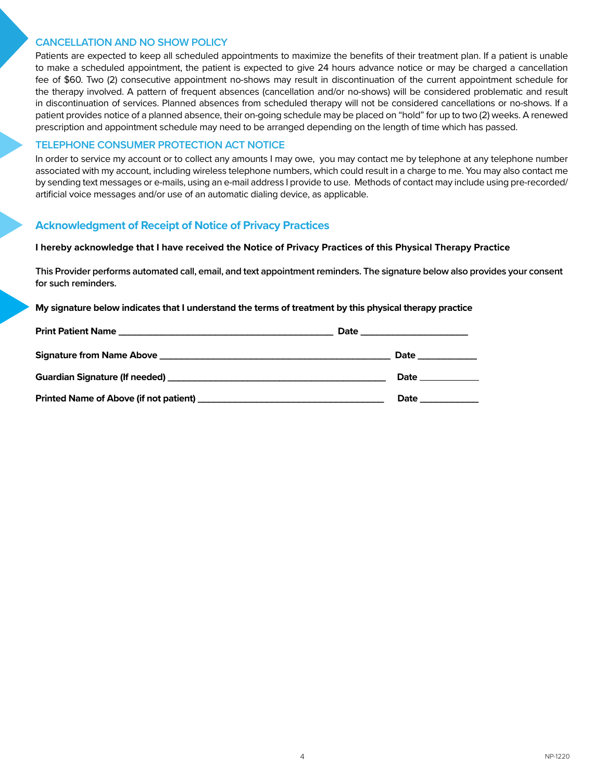#### **CANCELLATION AND NO SHOW POLICY**

Patients are expected to keep all scheduled appointments to maximize the benefits of their treatment plan. If a patient is unable to make a scheduled appointment, the patient is expected to give 24 hours advance notice or may be charged a cancellation fee of \$60. Two (2) consecutive appointment no-shows may result in discontinuation of the current appointment schedule for the therapy involved. A pattern of frequent absences (cancellation and/or no-shows) will be considered problematic and result in discontinuation of services. Planned absences from scheduled therapy will not be considered cancellations or no-shows. If a patient provides notice of a planned absence, their on-going schedule may be placed on "hold" for up to two (2) weeks. A renewed prescription and appointment schedule may need to be arranged depending on the length of time which has passed.

#### **TELEPHONE CONSUMER PROTECTION ACT NOTICE**

In order to service my account or to collect any amounts I may owe, you may contact me by telephone at any telephone number associated with my account, including wireless telephone numbers, which could result in a charge to me. You may also contact me by sending text messages or e-mails, using an e-mail address I provide to use. Methods of contact may include using pre-recorded/ artificial voice messages and/or use of an automatic dialing device, as applicable.

#### **Acknowledgment of Receipt of Notice of Privacy Practices**

#### **I hereby acknowledge that I have received the Notice of Privacy Practices of this Physical Therapy Practice**

**This Provider performs automated call, email, and text appointment reminders. The signature below also provides your consent for such reminders.**

**My signature below indicates that I understand the terms of treatment by this physical therapy practice**

| <b>Date Date</b>                                                                                                                                                                                                                    |
|-------------------------------------------------------------------------------------------------------------------------------------------------------------------------------------------------------------------------------------|
| <b>Date</b> the contract of the contract of the contract of the contract of the contract of the contract of the contract of the contract of the contract of the contract of the contract of the contract of the contract of the con |
| <b>Date</b> the contract of the contract of the contract of the contract of the contract of the contract of the contract of the contract of the contract of the contract of the contract of the contract of the contract of the con |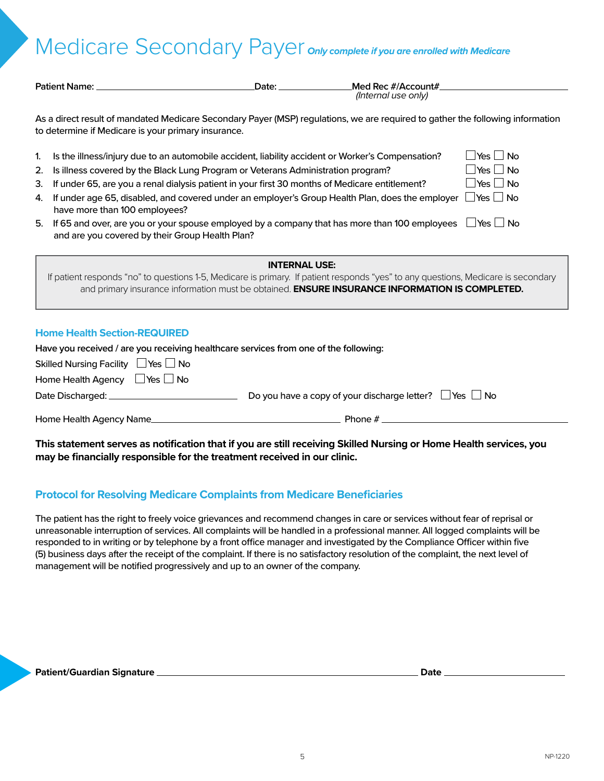# Medicare Secondary Payer only complete if you are enrolled with Medicare

| <b>Patient Name:</b>                                                                                                                                                                                                                                                                                                                                                                                                                                                                                                                                                                                          | Date:                | Med Rec #/Account#<br>(Internal use only)                                                      |                                                                                                                                           |
|---------------------------------------------------------------------------------------------------------------------------------------------------------------------------------------------------------------------------------------------------------------------------------------------------------------------------------------------------------------------------------------------------------------------------------------------------------------------------------------------------------------------------------------------------------------------------------------------------------------|----------------------|------------------------------------------------------------------------------------------------|-------------------------------------------------------------------------------------------------------------------------------------------|
| As a direct result of mandated Medicare Secondary Payer (MSP) regulations, we are required to gather the following information<br>to determine if Medicare is your primary insurance.                                                                                                                                                                                                                                                                                                                                                                                                                         |                      |                                                                                                |                                                                                                                                           |
| Is the illness/injury due to an automobile accident, liability accident or Worker's Compensation?<br>1.<br>Is illness covered by the Black Lung Program or Veterans Administration program?<br>2.<br>If under 65, are you a renal dialysis patient in your first 30 months of Medicare entitlement?<br>3.<br>If under age 65, disabled, and covered under an employer's Group Health Plan, does the employer<br>4.<br>have more than 100 employees?<br>If 65 and over, are you or your spouse employed by a company that has more than 100 employees<br>5.<br>and are you covered by their Group Health Plan? |                      |                                                                                                | $Yes \Box$<br><b>No</b><br>$\,$ Yes $\Box$ No<br>$\mathsf{l}$ Yes $\mathsf{l} \mathsf{l}$ No<br>$\Box$ Yes $\Box$ No<br><b>Yes</b><br>∣No |
| If patient responds "no" to questions 1-5, Medicare is primary. If patient responds "yes" to any questions, Medicare is secondary                                                                                                                                                                                                                                                                                                                                                                                                                                                                             | <b>INTERNAL USE:</b> | and primary insurance information must be obtained. ENSURE INSURANCE INFORMATION IS COMPLETED. |                                                                                                                                           |
| <b>Home Health Section-REQUIRED</b><br>Have you received / are you receiving healthcare services from one of the following:<br>Skilled Nursing Facility □ Yes L<br>$\Box$ No<br>Home Health Agency<br>$\Box$ Yes $\Box$ No                                                                                                                                                                                                                                                                                                                                                                                    |                      |                                                                                                |                                                                                                                                           |

| Date Discharged: _ | Do you have a copy of your discharge letter? $\Box$ Yes $\Box$ No |  |
|--------------------|-------------------------------------------------------------------|--|
|                    |                                                                   |  |

Home Health Agency Name Phone # Phone #

**This statement serves as notification that if you are still receiving Skilled Nursing or Home Health services, you may be financially responsible for the treatment received in our clinic.**

### **Protocol for Resolving Medicare Complaints from Medicare Beneficiaries**

The patient has the right to freely voice grievances and recommend changes in care or services without fear of reprisal or unreasonable interruption of services. All complaints will be handled in a professional manner. All logged complaints will be responded to in writing or by telephone by a front office manager and investigated by the Compliance Officer within five (5) business days after the receipt of the complaint. If there is no satisfactory resolution of the complaint, the next level of management will be notified progressively and up to an owner of the company.